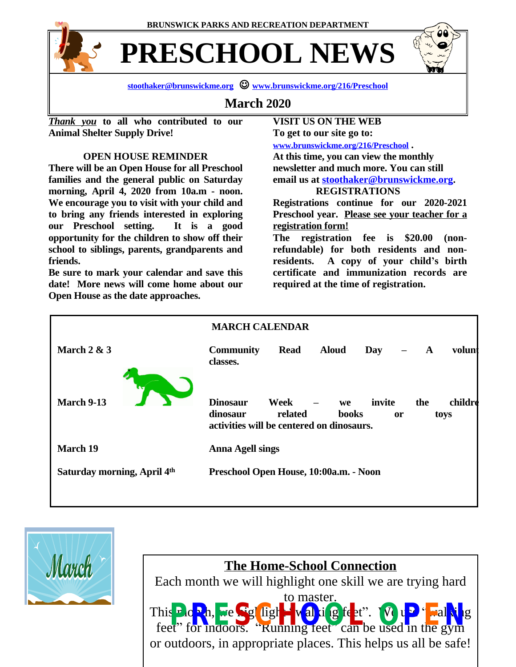**BRUNSWICK PARKS AND RECREATION DEPARTMENT**



**PRESCHOOL NEWS**



## **March 2020**

*Thank you* **to all who contributed to our Animal Shelter Supply Drive!**

## **OPEN HOUSE REMINDER**

**There will be an Open House for all Preschool families and the general public on Saturday morning, April 4, 2020 from 10a.m - noon. We encourage you to visit with your child and to bring any friends interested in exploring our Preschool setting. It is a good opportunity for the children to show off their school to siblings, parents, grandparents and friends.**

**Be sure to mark your calendar and save this date! More news will come home about our Open House as the date approaches.**

**VISIT US ON THE WEB To get to our site go to: [www.brunswickme.org/216/Preschool](http://www.brunswickme.org/216/Preschool) .**

**At this time, you can view the monthly newsletter and much more. You can still email us at [stoothaker@brunswickme.org.](mailto:stoothaker@brunswickme.org) REGISTRATIONS**

**Registrations continue for our 2020-2021 Preschool year. Please see your teacher for a registration form!**

**The registration fee is \$20.00 (nonrefundable) for both residents and nonresidents. A copy of your child's birth certificate and immunization records are required at the time of registration.**





## **The Home-School Connection**

Each month we will highlight one skill we are trying hard

to master. This month, we **Siglight "walking feet**". his **From, We See light wall i g jeet**". We used in the gym or outdoors, in appropriate places. This helps us all be safe!